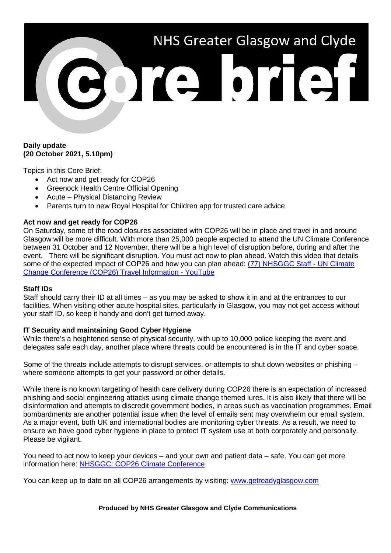# NHS Greater Glasgow and Clyde **BOTE OTEST**

## **Daily update (20 October 2021, 5.10pm)**

Topics in this Core Brief:

- Act now and get ready for COP26
- Greenock Health Centre Official Opening
- Acute Physical Distancing Review
- Parents turn to new Royal Hospital for Children app for trusted care advice

## **Act now and get ready for COP26**

On Saturday, some of the road closures associated with COP26 will be in place and travel in and around Glasgow will be more difficult. With more than 25,000 people expected to attend the UN Climate Conference between 31 October and 12 November, there will be a high level of disruption before, during and after the event. There will be significant disruption. You must act now to plan ahead. Watch this video that details some of the expected impact of COP26 and how you can plan ahead: [\(77\) NHSGGC Staff -](https://www.youtube.com/watch?v=XshPABt9qlE&t=4s) UN Climate [Change Conference \(COP26\) Travel Information -](https://www.youtube.com/watch?v=XshPABt9qlE&t=4s) YouTube

## **Staff IDs**

Staff should carry their ID at all times – as you may be asked to show it in and at the entrances to our facilities. When visiting other acute hospital sites, particularly in Glasgow, you may not get access without your staff ID, so keep it handy and don't get turned away.

## **IT Security and maintaining Good Cyber Hygiene**

While there's a heightened sense of physical security, with up to 10,000 police keeping the event and delegates safe each day, another place where threats could be encountered is in the IT and cyber space.

Some of the threats include attempts to disrupt services, or attempts to shut down websites or phishing – where someone attempts to get your password or other details.

While there is no known targeting of health care delivery during COP26 there is an expectation of increased phishing and social engineering attacks using climate change themed lures. It is also likely that there will be disinformation and attempts to discredit government bodies, in areas such as vaccination programmes. Email bombardments are another potential issue when the level of emails sent may overwhelm our email system. As a major event, both UK and international bodies are monitoring cyber threats. As a result, we need to ensure we have good cyber hygiene in place to protect IT system use at both corporately and personally. Please be vigilant.

You need to act now to keep your devices – and your own and patient data – safe. You can get more information here: [NHSGGC: COP26 Climate Conference](https://www.nhsggc.org.uk/about-us/cop26-conference/staff-information/)

You can keep up to date on all COP26 arrangements by visiting: [www.getreadyglasgow.com](http://www.getreadyglasgow.com/)

#### **Produced by NHS Greater Glasgow and Clyde Communications**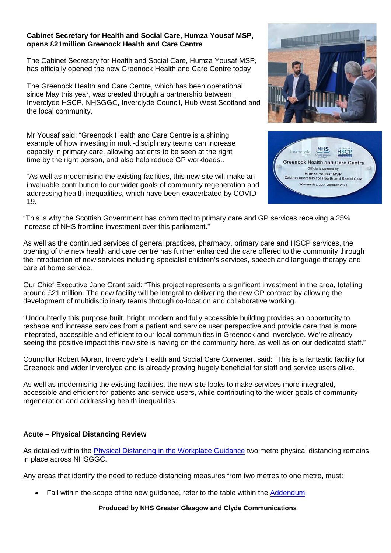#### **Cabinet Secretary for Health and Social Care, Humza Yousaf MSP, opens £21million Greenock Health and Care Centre**

The Cabinet Secretary for Health and Social Care, Humza Yousaf MSP, has officially opened the new Greenock Health and Care Centre today

The Greenock Health and Care Centre, which has been operational since May this year, was created through a partnership between Inverclyde HSCP, NHSGGC, Inverclyde Council, Hub West Scotland and the local community.

Mr Yousaf said: "Greenock Health and Care Centre is a shining example of how investing in multi-disciplinary teams can increase capacity in primary care, allowing patients to be seen at the right time by the right person, and also help reduce GP workloads..

"As well as modernising the existing facilities, this new site will make an invaluable contribution to our wider goals of community regeneration and addressing health inequalities, which have been exacerbated by COVID-19.





"This is why the Scottish Government has committed to primary care and GP services receiving a 25% increase of NHS frontline investment over this parliament."

As well as the continued services of general practices, pharmacy, primary care and HSCP services, the opening of the new health and care centre has further enhanced the care offered to the community through the introduction of new services including specialist children's services, speech and language therapy and care at home service.

Our Chief Executive Jane Grant said: "This project represents a significant investment in the area, totalling around £21 million. The new facility will be integral to delivering the new GP contract by allowing the development of multidisciplinary teams through co-location and collaborative working.

"Undoubtedly this purpose built, bright, modern and fully accessible building provides an opportunity to reshape and increase services from a patient and service user perspective and provide care that is more integrated, accessible and efficient to our local communities in Greenock and Inverclyde. We're already seeing the positive impact this new site is having on the community here, as well as on our dedicated staff."

Councillor Robert Moran, Inverclyde's Health and Social Care Convener, said: "This is a fantastic facility for Greenock and wider Inverclyde and is already proving hugely beneficial for staff and service users alike.

As well as modernising the existing facilities, the new site looks to make services more integrated, accessible and efficient for patients and service users, while contributing to the wider goals of community regeneration and addressing health inequalities.

# **Acute – Physical Distancing Review**

As detailed within the [Physical Distancing in the Workplace Guidance](https://www.nhsggc.org.uk/your-health/health-issues/covid-19-coronavirus/for-nhsggc-staff/physical-distancing-in-the-workplace/) two metre physical distancing remains in place across NHSGGC.

Any areas that identify the need to reduce distancing measures from two metres to one metre, must:

Fall within the scope of the new guidance, refer to the table within the [Addendum](https://www.nhsggc.org.uk/media/269529/acute-facilities-addendum-to-guidance-on-physical-distancing_sept21.pdf)

**Produced by NHS Greater Glasgow and Clyde Communications**